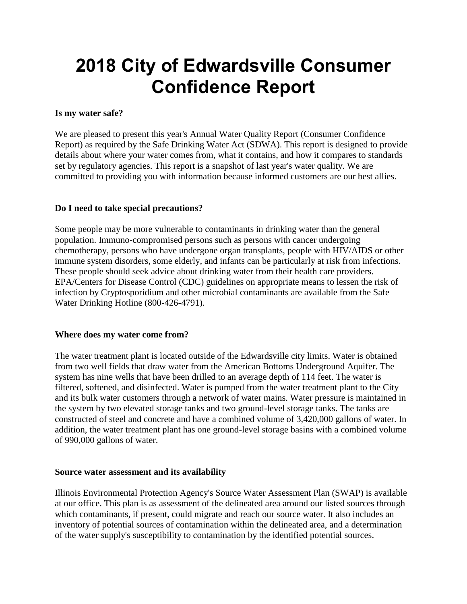# **2018 City of Edwardsville Consumer Confidence Report**

# **Is my water safe?**

We are pleased to present this year's Annual Water Quality Report (Consumer Confidence Report) as required by the Safe Drinking Water Act (SDWA). This report is designed to provide details about where your water comes from, what it contains, and how it compares to standards set by regulatory agencies. This report is a snapshot of last year's water quality. We are committed to providing you with information because informed customers are our best allies.

# **Do I need to take special precautions?**

Some people may be more vulnerable to contaminants in drinking water than the general population. Immuno-compromised persons such as persons with cancer undergoing chemotherapy, persons who have undergone organ transplants, people with HIV/AIDS or other immune system disorders, some elderly, and infants can be particularly at risk from infections. These people should seek advice about drinking water from their health care providers. EPA/Centers for Disease Control (CDC) guidelines on appropriate means to lessen the risk of infection by Cryptosporidium and other microbial contaminants are available from the Safe Water Drinking Hotline (800-426-4791).

### **Where does my water come from?**

The water treatment plant is located outside of the Edwardsville city limits. Water is obtained from two well fields that draw water from the American Bottoms Underground Aquifer. The system has nine wells that have been drilled to an average depth of 114 feet. The water is filtered, softened, and disinfected. Water is pumped from the water treatment plant to the City and its bulk water customers through a network of water mains. Water pressure is maintained in the system by two elevated storage tanks and two ground-level storage tanks. The tanks are constructed of steel and concrete and have a combined volume of 3,420,000 gallons of water. In addition, the water treatment plant has one ground-level storage basins with a combined volume of 990,000 gallons of water.

### **Source water assessment and its availability**

Illinois Environmental Protection Agency's Source Water Assessment Plan (SWAP) is available at our office. This plan is as assessment of the delineated area around our listed sources through which contaminants, if present, could migrate and reach our source water. It also includes an inventory of potential sources of contamination within the delineated area, and a determination of the water supply's susceptibility to contamination by the identified potential sources.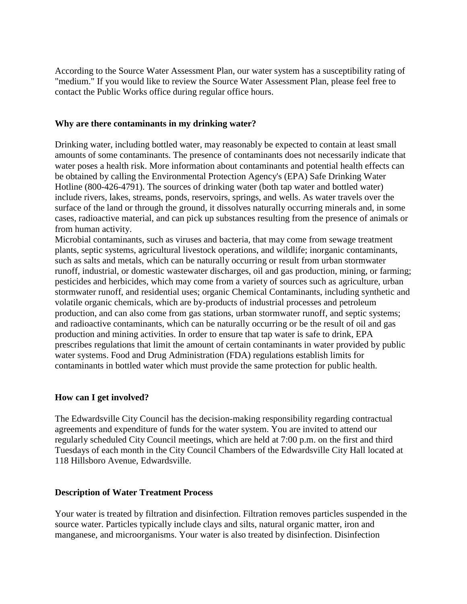According to the Source Water Assessment Plan, our water system has a susceptibility rating of "medium." If you would like to review the Source Water Assessment Plan, please feel free to contact the Public Works office during regular office hours.

#### **Why are there contaminants in my drinking water?**

Drinking water, including bottled water, may reasonably be expected to contain at least small amounts of some contaminants. The presence of contaminants does not necessarily indicate that water poses a health risk. More information about contaminants and potential health effects can be obtained by calling the Environmental Protection Agency's (EPA) Safe Drinking Water Hotline (800-426-4791). The sources of drinking water (both tap water and bottled water) include rivers, lakes, streams, ponds, reservoirs, springs, and wells. As water travels over the surface of the land or through the ground, it dissolves naturally occurring minerals and, in some cases, radioactive material, and can pick up substances resulting from the presence of animals or from human activity.

Microbial contaminants, such as viruses and bacteria, that may come from sewage treatment plants, septic systems, agricultural livestock operations, and wildlife; inorganic contaminants, such as salts and metals, which can be naturally occurring or result from urban stormwater runoff, industrial, or domestic wastewater discharges, oil and gas production, mining, or farming; pesticides and herbicides, which may come from a variety of sources such as agriculture, urban stormwater runoff, and residential uses; organic Chemical Contaminants, including synthetic and volatile organic chemicals, which are by-products of industrial processes and petroleum production, and can also come from gas stations, urban stormwater runoff, and septic systems; and radioactive contaminants, which can be naturally occurring or be the result of oil and gas production and mining activities. In order to ensure that tap water is safe to drink, EPA prescribes regulations that limit the amount of certain contaminants in water provided by public water systems. Food and Drug Administration (FDA) regulations establish limits for contaminants in bottled water which must provide the same protection for public health.

### **How can I get involved?**

The Edwardsville City Council has the decision-making responsibility regarding contractual agreements and expenditure of funds for the water system. You are invited to attend our regularly scheduled City Council meetings, which are held at 7:00 p.m. on the first and third Tuesdays of each month in the City Council Chambers of the Edwardsville City Hall located at 118 Hillsboro Avenue, Edwardsville.

### **Description of Water Treatment Process**

Your water is treated by filtration and disinfection. Filtration removes particles suspended in the source water. Particles typically include clays and silts, natural organic matter, iron and manganese, and microorganisms. Your water is also treated by disinfection. Disinfection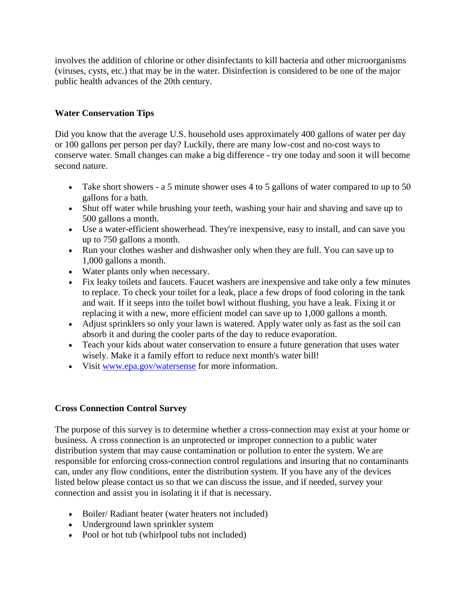involves the addition of chlorine or other disinfectants to kill bacteria and other microorganisms (viruses, cysts, etc.) that may be in the water. Disinfection is considered to be one of the major public health advances of the 20th century.

# **Water Conservation Tips**

Did you know that the average U.S. household uses approximately 400 gallons of water per day or 100 gallons per person per day? Luckily, there are many low-cost and no-cost ways to conserve water. Small changes can make a big difference - try one today and soon it will become second nature.

- Take short showers a 5 minute shower uses 4 to 5 gallons of water compared to up to 50 gallons for a bath.
- Shut off water while brushing your teeth, washing your hair and shaving and save up to 500 gallons a month.
- Use a water-efficient showerhead. They're inexpensive, easy to install, and can save you up to 750 gallons a month.
- Run your clothes washer and dishwasher only when they are full. You can save up to 1,000 gallons a month.
- Water plants only when necessary.
- Fix leaky toilets and faucets. Faucet washers are inexpensive and take only a few minutes to replace. To check your toilet for a leak, place a few drops of food coloring in the tank and wait. If it seeps into the toilet bowl without flushing, you have a leak. Fixing it or replacing it with a new, more efficient model can save up to 1,000 gallons a month.
- Adjust sprinklers so only your lawn is watered. Apply water only as fast as the soil can absorb it and during the cooler parts of the day to reduce evaporation.
- Teach your kids about water conservation to ensure a future generation that uses water wisely. Make it a family effort to reduce next month's water bill!
- Visit [www.epa.gov/watersense](http://www.epa.gov/watersense) for more information.

# **Cross Connection Control Survey**

The purpose of this survey is to determine whether a cross-connection may exist at your home or business. A cross connection is an unprotected or improper connection to a public water distribution system that may cause contamination or pollution to enter the system. We are responsible for enforcing cross-connection control regulations and insuring that no contaminants can, under any flow conditions, enter the distribution system. If you have any of the devices listed below please contact us so that we can discuss the issue, and if needed, survey your connection and assist you in isolating it if that is necessary.

- Boiler/ Radiant heater (water heaters not included)
- Underground lawn sprinkler system
- Pool or hot tub (whirlpool tubs not included)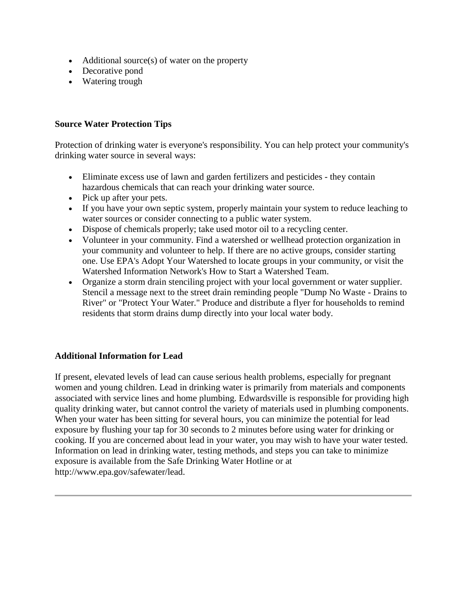- $\bullet$  Additional source(s) of water on the property
- Decorative pond
- Watering trough

### **Source Water Protection Tips**

Protection of drinking water is everyone's responsibility. You can help protect your community's drinking water source in several ways:

- Eliminate excess use of lawn and garden fertilizers and pesticides they contain hazardous chemicals that can reach your drinking water source.
- Pick up after your pets.
- If you have your own septic system, properly maintain your system to reduce leaching to water sources or consider connecting to a public water system.
- Dispose of chemicals properly; take used motor oil to a recycling center.
- Volunteer in your community. Find a watershed or wellhead protection organization in your community and volunteer to help. If there are no active groups, consider starting one. Use EPA's Adopt Your Watershed to locate groups in your community, or visit the Watershed Information Network's How to Start a Watershed Team.
- Organize a storm drain stenciling project with your local government or water supplier. Stencil a message next to the street drain reminding people "Dump No Waste - Drains to River" or "Protect Your Water." Produce and distribute a flyer for households to remind residents that storm drains dump directly into your local water body.

### **Additional Information for Lead**

If present, elevated levels of lead can cause serious health problems, especially for pregnant women and young children. Lead in drinking water is primarily from materials and components associated with service lines and home plumbing. Edwardsville is responsible for providing high quality drinking water, but cannot control the variety of materials used in plumbing components. When your water has been sitting for several hours, you can minimize the potential for lead exposure by flushing your tap for 30 seconds to 2 minutes before using water for drinking or cooking. If you are concerned about lead in your water, you may wish to have your water tested. Information on lead in drinking water, testing methods, and steps you can take to minimize exposure is available from the Safe Drinking Water Hotline or at http://www.epa.gov/safewater/lead.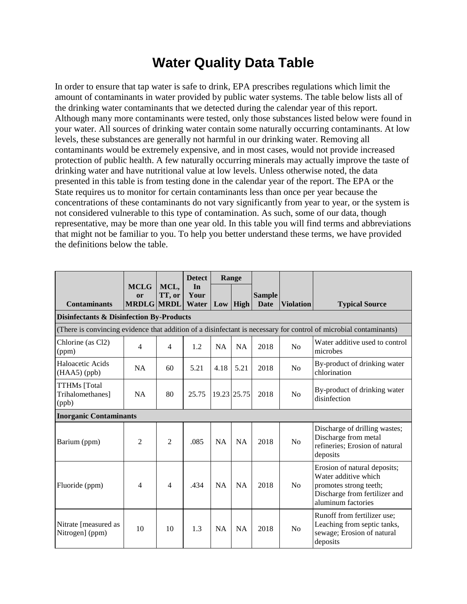# **Water Quality Data Table**

In order to ensure that tap water is safe to drink, EPA prescribes regulations which limit the amount of contaminants in water provided by public water systems. The table below lists all of the drinking water contaminants that we detected during the calendar year of this report. Although many more contaminants were tested, only those substances listed below were found in your water. All sources of drinking water contain some naturally occurring contaminants. At low levels, these substances are generally not harmful in our drinking water. Removing all contaminants would be extremely expensive, and in most cases, would not provide increased protection of public health. A few naturally occurring minerals may actually improve the taste of drinking water and have nutritional value at low levels. Unless otherwise noted, the data presented in this table is from testing done in the calendar year of the report. The EPA or the State requires us to monitor for certain contaminants less than once per year because the concentrations of these contaminants do not vary significantly from year to year, or the system is not considered vulnerable to this type of contamination. As such, some of our data, though representative, may be more than one year old. In this table you will find terms and abbreviations that might not be familiar to you. To help you better understand these terms, we have provided the definitions below the table.

|                                                     |                                        |                | <b>Detect</b>       |           | Range       |                              |                  |                                                                                                                                       |  |
|-----------------------------------------------------|----------------------------------------|----------------|---------------------|-----------|-------------|------------------------------|------------------|---------------------------------------------------------------------------------------------------------------------------------------|--|
| <b>Contaminants</b>                                 | <b>MCLG</b><br>or<br><b>MRDLG MRDL</b> | MCL,<br>TT, or | In<br>Your<br>Water |           | $Low$ High  | <b>Sample</b><br><b>Date</b> | <b>Violation</b> | <b>Typical Source</b>                                                                                                                 |  |
| <b>Disinfectants &amp; Disinfection By-Products</b> |                                        |                |                     |           |             |                              |                  |                                                                                                                                       |  |
|                                                     |                                        |                |                     |           |             |                              |                  | (There is convincing evidence that addition of a disinfectant is necessary for control of microbial contaminants)                     |  |
| Chlorine (as Cl2)<br>(ppm)                          | $\overline{4}$                         | $\overline{4}$ | 1.2                 | <b>NA</b> | NA          | 2018                         | N <sub>0</sub>   | Water additive used to control<br>microbes                                                                                            |  |
| Haloacetic Acids<br>$(HAA5)$ (ppb)                  | <b>NA</b>                              | 60             | 5.21                | 4.18      | 5.21        | 2018                         | N <sub>0</sub>   | By-product of drinking water<br>chlorination                                                                                          |  |
| TTHMs [Total]<br>Trihalomethanes]<br>(ppb)          | NA                                     | 80             | 25.75               |           | 19.23 25.75 | 2018                         | N <sub>0</sub>   | By-product of drinking water<br>disinfection                                                                                          |  |
| <b>Inorganic Contaminants</b>                       |                                        |                |                     |           |             |                              |                  |                                                                                                                                       |  |
| Barium (ppm)                                        | $\overline{2}$                         | $\overline{2}$ | .085                | NA        | NA          | 2018                         | No               | Discharge of drilling wastes;<br>Discharge from metal<br>refineries; Erosion of natural<br>deposits                                   |  |
| Fluoride (ppm)                                      | $\overline{4}$                         | $\overline{4}$ | .434                | NA        | NA          | 2018                         | N <sub>0</sub>   | Erosion of natural deposits;<br>Water additive which<br>promotes strong teeth;<br>Discharge from fertilizer and<br>aluminum factories |  |
| Nitrate [measured as<br>Nitrogen] (ppm)             | 10                                     | 10             | 1.3                 | <b>NA</b> | <b>NA</b>   | 2018                         | N <sub>0</sub>   | Runoff from fertilizer use;<br>Leaching from septic tanks,<br>sewage; Erosion of natural<br>deposits                                  |  |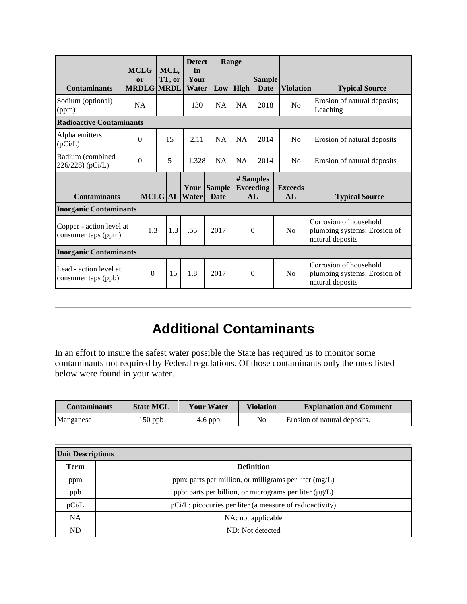|                                                 |          |                                        |   |                | <b>Detect</b>         |                              | Range       |                                      |                       |                                                                            |
|-------------------------------------------------|----------|----------------------------------------|---|----------------|-----------------------|------------------------------|-------------|--------------------------------------|-----------------------|----------------------------------------------------------------------------|
| <b>Contaminants</b>                             |          | <b>MCLG</b><br>or<br><b>MRDLG MRDL</b> |   | MCL,<br>TT, or | In<br>Your<br>Water   | Low                          | <b>High</b> | <b>Sample</b><br><b>Date</b>         | <b>Violation</b>      | <b>Typical Source</b>                                                      |
| Sodium (optional)<br>(ppm)                      |          | <b>NA</b>                              |   |                | 130                   | <b>NA</b>                    | <b>NA</b>   | 2018                                 | N <sub>0</sub>        | Erosion of natural deposits;<br>Leaching                                   |
| <b>Radioactive Contaminants</b>                 |          |                                        |   |                |                       |                              |             |                                      |                       |                                                                            |
| Alpha emitters<br>(pCi/L)                       |          | $\Omega$                               |   | 15             | 2.11                  | <b>NA</b>                    | <b>NA</b>   | 2014                                 | N <sub>0</sub>        | Erosion of natural deposits                                                |
| Radium (combined<br>226/228) (pCi/L)            | $\Omega$ |                                        | 5 |                | 1.328                 | <b>NA</b>                    | <b>NA</b>   | 2014                                 | N <sub>0</sub>        | Erosion of natural deposits                                                |
| <b>Contaminants</b>                             |          |                                        |   |                | Your<br>MCLG AL Water | <b>Sample</b><br><b>Date</b> |             | # Samples<br><b>Exceeding</b><br>AI. | <b>Exceeds</b><br>AI. | <b>Typical Source</b>                                                      |
| <b>Inorganic Contaminants</b>                   |          |                                        |   |                |                       |                              |             |                                      |                       |                                                                            |
| Copper - action level at<br>consumer taps (ppm) |          | 1.3                                    |   | 1.3            | .55                   | 2017                         |             | $\theta$                             | No                    | Corrosion of household<br>plumbing systems; Erosion of<br>natural deposits |
| <b>Inorganic Contaminants</b>                   |          |                                        |   |                |                       |                              |             |                                      |                       |                                                                            |
| Lead - action level at<br>consumer taps (ppb)   |          | $\theta$                               |   | 15             | 1.8                   | 2017                         |             | $\theta$                             | No                    | Corrosion of household<br>plumbing systems; Erosion of<br>natural deposits |

# **Additional Contaminants**

In an effort to insure the safest water possible the State has required us to monitor some contaminants not required by Federal regulations. Of those contaminants only the ones listed below were found in your water.

| <b>Contaminants</b> | <b>State MCL</b> | Your Water | <b>Violation</b> | <b>Explanation and Comment</b> |
|---------------------|------------------|------------|------------------|--------------------------------|
| Manganese           | $150$ ppb        | $4.6$ ppb  | No               | Erosion of natural deposits.   |

| <b>Unit Descriptions</b> |                                                             |  |  |  |
|--------------------------|-------------------------------------------------------------|--|--|--|
| <b>Term</b>              | <b>Definition</b>                                           |  |  |  |
| ppm                      | ppm: parts per million, or milligrams per liter $(mg/L)$    |  |  |  |
| ppb                      | ppb: parts per billion, or micrograms per liter $(\mu g/L)$ |  |  |  |
| pCi/L                    | pCi/L: picocuries per liter (a measure of radioactivity)    |  |  |  |
| <b>NA</b>                | NA: not applicable                                          |  |  |  |
| ND                       | ND: Not detected                                            |  |  |  |